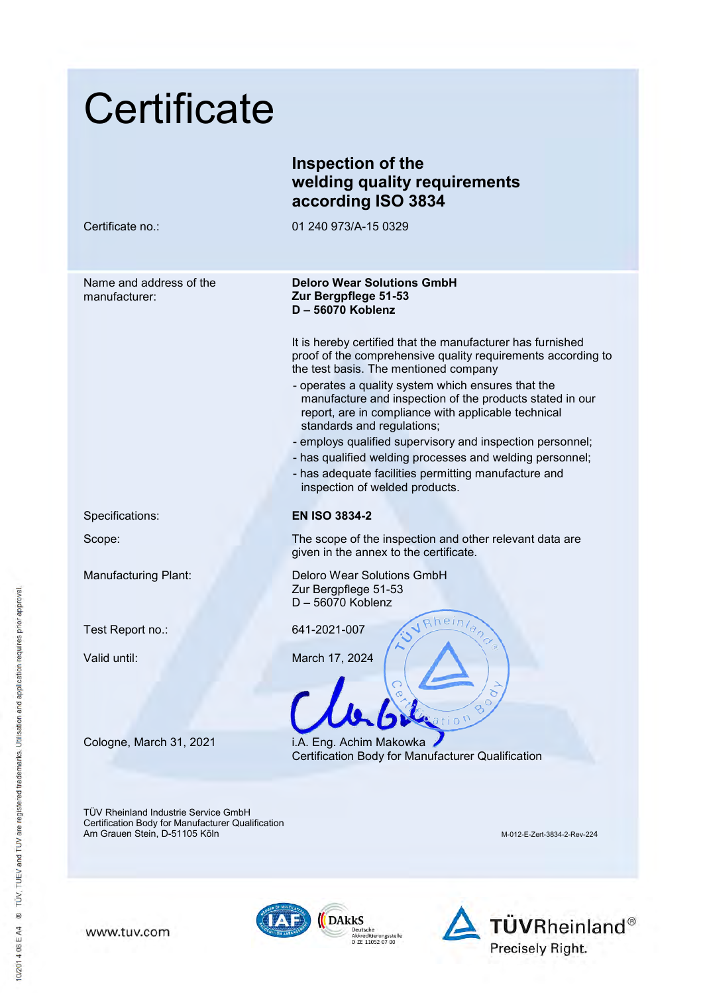| Certificate                                                                                                                       |                                                                                                                                                                                                                 |
|-----------------------------------------------------------------------------------------------------------------------------------|-----------------------------------------------------------------------------------------------------------------------------------------------------------------------------------------------------------------|
|                                                                                                                                   | Inspection of the<br>welding quality requirements<br>according ISO 3834                                                                                                                                         |
| Certificate no.:                                                                                                                  | 01 240 973/A-15 0329                                                                                                                                                                                            |
| Name and address of the<br>manufacturer:                                                                                          | <b>Deloro Wear Solutions GmbH</b><br>Zur Bergpflege 51-53<br>D-56070 Koblenz                                                                                                                                    |
|                                                                                                                                   | It is hereby certified that the manufacturer has furnished<br>proof of the comprehensive quality requirements according to<br>the test basis. The mentioned company                                             |
|                                                                                                                                   | - operates a quality system which ensures that the<br>manufacture and inspection of the products stated in our<br>report, are in compliance with applicable technical<br>standards and regulations;             |
|                                                                                                                                   | - employs qualified supervisory and inspection personnel;<br>- has qualified welding processes and welding personnel;<br>- has adequate facilities permitting manufacture and<br>inspection of welded products. |
| Specifications:                                                                                                                   | <b>EN ISO 3834-2</b>                                                                                                                                                                                            |
| Scope:                                                                                                                            | The scope of the inspection and other relevant data are<br>given in the annex to the certificate.                                                                                                               |
| <b>Manufacturing Plant:</b>                                                                                                       | Deloro Wear Solutions GmbH<br>Zur Bergpflege 51-53<br>D-56070 Koblenz                                                                                                                                           |
| Test Report no.:                                                                                                                  | Rheinland<br>641-2021-007                                                                                                                                                                                       |
| Valid until:                                                                                                                      | March 17, 2024                                                                                                                                                                                                  |
| Cologne, March 31, 2021                                                                                                           | i.A. Eng. Achim Makowka<br>Certification Body for Manufacturer Qualification                                                                                                                                    |
| <b>TÜV Rheinland Industrie Service GmbH</b><br>Certification Body for Manufacturer Qualification<br>Am Grauen Stein, D-51105 Köln | M-012-E-Zert-3834-2-Rev-224                                                                                                                                                                                     |